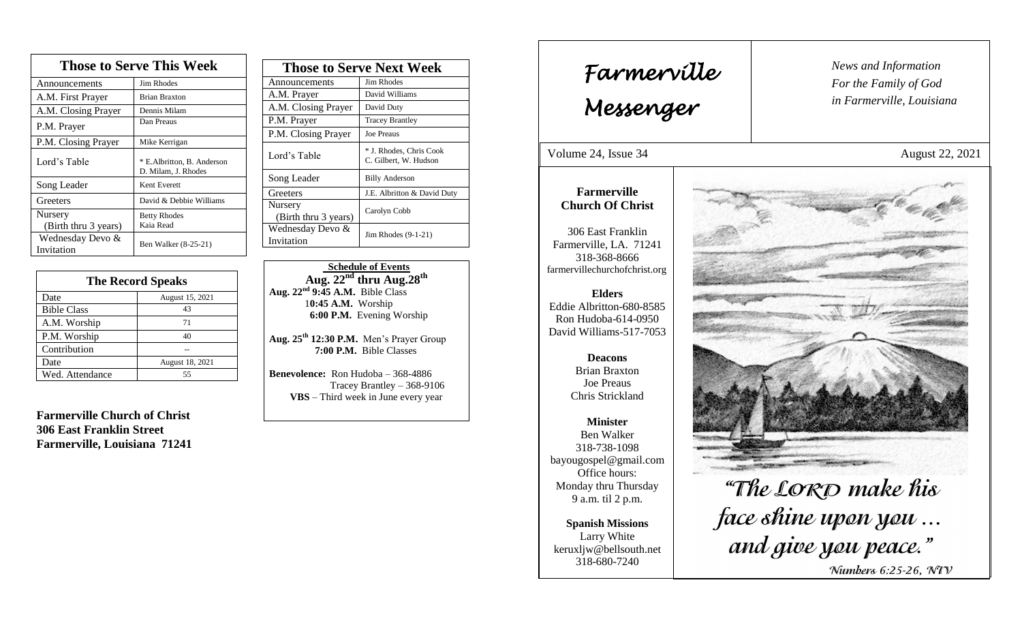| <b>Those to Serve This Week</b> |                                                   |  |
|---------------------------------|---------------------------------------------------|--|
| Announcements                   | Jim Rhodes                                        |  |
| A.M. First Prayer               | <b>Brian Braxton</b>                              |  |
| A.M. Closing Prayer             | Dennis Milam                                      |  |
| P.M. Prayer                     | Dan Preaus                                        |  |
| P.M. Closing Prayer             | Mike Kerrigan                                     |  |
| Lord's Table                    | * E.Albritton, B. Anderson<br>D. Milam, J. Rhodes |  |
| Song Leader                     | Kent Everett                                      |  |
| Greeters                        | David & Debbie Williams                           |  |
| Nursery<br>(Birth thru 3 years) | <b>Betty Rhodes</b><br>Kaia Read                  |  |
| Wednesday Devo &<br>Invitation  | Ben Walker (8-25-21)                              |  |

| <b>The Record Speaks</b> |                 |
|--------------------------|-----------------|
| Date                     | August 15, 2021 |
| <b>Bible Class</b>       | 43              |
| A.M. Worship             | 71              |
| P.M. Worship             | 40              |
| Contribution             |                 |
| Date                     | August 18, 2021 |
| Wed. Attendance          | 55              |

**Farmerville Church of Christ 306 East Franklin Street Farmerville, Louisiana 71241**

| <b>Those to Serve Next Week</b> |                                                  |
|---------------------------------|--------------------------------------------------|
| Announcements                   | Jim Rhodes                                       |
| A.M. Prayer                     | David Williams                                   |
| A.M. Closing Prayer             | David Duty                                       |
| P.M. Prayer                     | <b>Tracey Brantley</b>                           |
| P.M. Closing Prayer             | <b>Joe Preaus</b>                                |
| Lord's Table                    | * J. Rhodes, Chris Cook<br>C. Gilbert, W. Hudson |
| Song Leader                     | <b>Billy Anderson</b>                            |
| Greeters                        | J.E. Albritton & David Duty                      |
| Nursery<br>(Birth thru 3 years) | Carolyn Cobb                                     |
| Wednesday Devo &<br>Invitation  | Jim Rhodes $(9-1-21)$                            |

 **Schedule of Events Aug. 22nd thru Aug.28 th Aug. 22nd 9:45 A.M.** Bible Class 1**0:45 A.M.** Worship  **6:00 P.M.** Evening Worship

**Aug. 25th 12:30 P.M.** Men's Prayer Group **7:00 P.M.** Bible Classes

**Benevolence:** Ron Hudoba – 368-4886 Tracey Brantley – 368-9106 **VBS** – Third week in June every year

*News and Information* **Farmerville**  $\begin{bmatrix} \text{News an} \\ \text{For the} \end{bmatrix}$ *For the Family of God in Farmerville, Louisiana Messenger*  Volume 24, Issue 34 August 22, 2021 , 2015 **Farmerville Church Of Christ** 306 East Franklin Farmerville, LA. 71241 318-368-8666 farmervillechurchofchrist.org **Elders** Eddie Albritton-680-8585 Ron Hudoba-614-0950 David Williams-517-7053 **Deacons**  Brian Braxton Joe Preaus Chris Strickland **Minister** Ben Walker 318-738-1098 bayougospel@gmail.com Office hours: "The LORD make his Monday thru Thursday 9 a.m. til 2 p.m. face shine upon you... **Spanish Missions** Larry White and give you peace." keruxljw@bellsouth.net 318-680-7240 Numbers 6:25-26, NIV